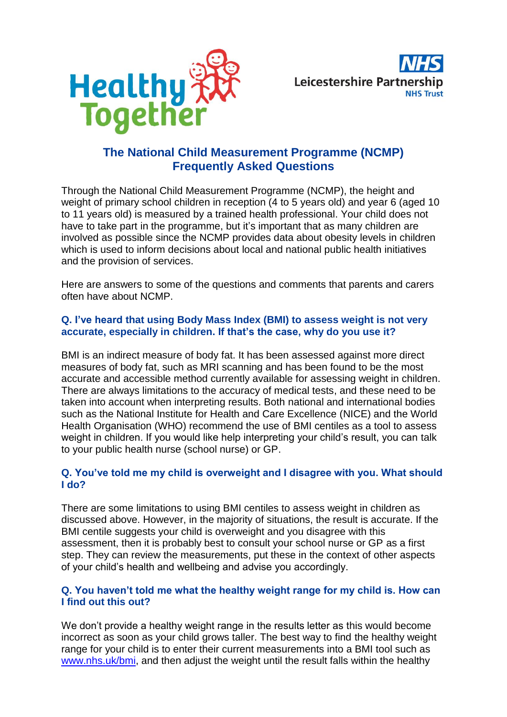



# **The National Child Measurement Programme (NCMP) Frequently Asked Questions**

Through the National Child Measurement Programme (NCMP), the height and weight of primary school children in reception (4 to 5 years old) and year 6 (aged 10 to 11 years old) is measured by a trained health professional. Your child does not have to take part in the programme, but it's important that as many children are involved as possible since the NCMP provides data about obesity levels in children which is used to inform decisions about local and national public health initiatives and the provision of services.

Here are answers to some of the questions and comments that parents and carers often have about NCMP.

#### **Q. I've heard that using Body Mass Index (BMI) to assess weight is not very accurate, especially in children. If that's the case, why do you use it?**

BMI is an indirect measure of body fat. It has been assessed against more direct measures of body fat, such as MRI scanning and has been found to be the most accurate and accessible method currently available for assessing weight in children. There are always limitations to the accuracy of medical tests, and these need to be taken into account when interpreting results. Both national and international bodies such as the National Institute for Health and Care Excellence (NICE) and the World Health Organisation (WHO) recommend the use of BMI centiles as a tool to assess weight in children. If you would like help interpreting your child's result, you can talk to your public health nurse (school nurse) or GP.

## **Q. You've told me my child is overweight and I disagree with you. What should I do?**

There are some limitations to using BMI centiles to assess weight in children as discussed above. However, in the majority of situations, the result is accurate. If the BMI centile suggests your child is overweight and you disagree with this assessment, then it is probably best to consult your school nurse or GP as a first step. They can review the measurements, put these in the context of other aspects of your child's health and wellbeing and advise you accordingly.

## **Q. You haven't told me what the healthy weight range for my child is. How can I find out this out?**

We don't provide a healthy weight range in the results letter as this would become incorrect as soon as your child grows taller. The best way to find the healthy weight range for your child is to enter their current measurements into a BMI tool such as [www.nhs.uk/bmi,](http://www.nhs.uk/bmi) and then adjust the weight until the result falls within the healthy